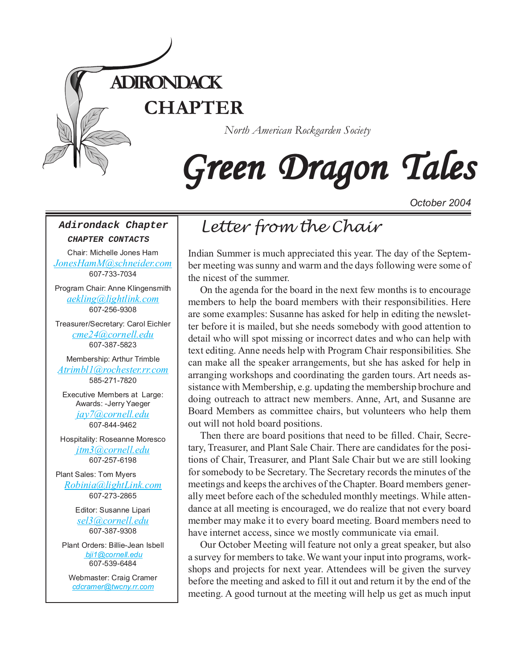

# Green Dragon Tales

*October 2004*

#### **Adirondack Chapter**

**CHAPTER CONTACTS**

Chair: Michelle Jones Ham *[JonesHamM@schneider.com](Mailto:JonesHamM@schneider.com)* 607-733-7034

Program Chair: Anne Klingensmith *[aekling@lightlink.com](mailto:aekling@lightlink.com)* 607-256-9308

Treasurer/Secretary: Carol Eichler *[cme24@cornell.edu](mailto:cme24@cornell.ed)* 607-387-5823

Membership: Arthur Trimble *[Atrimbl1@rochester.rr.com](mailto:Atrimbl1@rochester.rr.com)* 585-271-7820

Executive Members at Large: Awards: -Jerry Yaeger *[jay7@cornell.edu](mailto:jay7@cornell.edu)* 607-844-9462

Hospitality: Roseanne Moresco *[jtm3@cornell.edu](mailto:jtm3@cornell.edu)* 607-257-6198

Plant Sales: Tom Myers *[Robinia@lightLink.com](mailto:Robinia@lightLink.com)* 607-273-2865

> Editor: Susanne Lipari *[sel3@cornell.edu](mailto:sel3@cornell.edu)* 607-387-9308

Plant Orders: Billie-Jean Isbell  *[bji1@cornell.edu](mailto: bji1@cornell.edu|)* 607-539-6484

Webmaster: Craig Cramer *[cdcramer@twcny.rr.com](mailto:cdcramer@twcny.rr.com)*

# *Letter from the Chair*

Indian Summer is much appreciated this year. The day of the September meeting was sunny and warm and the days following were some of the nicest of the summer.

On the agenda for the board in the next few months is to encourage members to help the board members with their responsibilities. Here are some examples: Susanne has asked for help in editing the newsletter before it is mailed, but she needs somebody with good attention to detail who will spot missing or incorrect dates and who can help with text editing. Anne needs help with Program Chair responsibilities. She can make all the speaker arrangements, but she has asked for help in arranging workshops and coordinating the garden tours. Art needs assistance with Membership, e.g. updating the membership brochure and doing outreach to attract new members. Anne, Art, and Susanne are Board Members as committee chairs, but volunteers who help them out will not hold board positions.

Then there are board positions that need to be filled. Chair, Secretary, Treasurer, and Plant Sale Chair. There are candidates for the positions of Chair, Treasurer, and Plant Sale Chair but we are still looking for somebody to be Secretary. The Secretary records the minutes of the meetings and keeps the archives of the Chapter. Board members generally meet before each of the scheduled monthly meetings. While attendance at all meeting is encouraged, we do realize that not every board member may make it to every board meeting. Board members need to have internet access, since we mostly communicate via email.

Our October Meeting will feature not only a great speaker, but also a survey for members to take. We want your input into programs, workshops and projects for next year. Attendees will be given the survey before the meeting and asked to fill it out and return it by the end of the meeting. A good turnout at the meeting will help us get as much input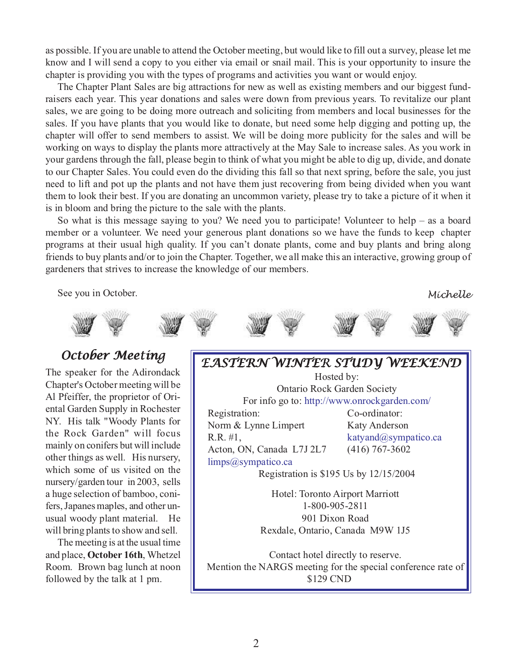as possible. If you are unable to attend the October meeting, but would like to fill out a survey, please let me know and I will send a copy to you either via email or snail mail. This is your opportunity to insure the chapter is providing you with the types of programs and activities you want or would enjoy.

The Chapter Plant Sales are big attractions for new as well as existing members and our biggest fundraisers each year. This year donations and sales were down from previous years. To revitalize our plant sales, we are going to be doing more outreach and soliciting from members and local businesses for the sales. If you have plants that you would like to donate, but need some help digging and potting up, the chapter will offer to send members to assist. We will be doing more publicity for the sales and will be working on ways to display the plants more attractively at the May Sale to increase sales. As you work in your gardens through the fall, please begin to think of what you might be able to dig up, divide, and donate to our Chapter Sales. You could even do the dividing this fall so that next spring, before the sale, you just need to lift and pot up the plants and not have them just recovering from being divided when you want them to look their best. If you are donating an uncommon variety, please try to take a picture of it when it is in bloom and bring the picture to the sale with the plants.

So what is this message saying to you? We need you to participate! Volunteer to help – as a board member or a volunteer. We need your generous plant donations so we have the funds to keep chapter programs at their usual high quality. If you can't donate plants, come and buy plants and bring along friends to buy plants and/or to join the Chapter. Together, we all make this an interactive, growing group of gardeners that strives to increase the knowledge of our members.

See you in October. *Michelle*





The speaker for the Adirondack Chapter's October meeting will be Al Pfeiffer, the proprietor of Oriental Garden Supply in Rochester NY. His talk "Woody Plants for the Rock Garden" will focus mainly on conifers but will include other things as well. His nursery, which some of us visited on the nursery/garden tour in 2003, sells a huge selection of bamboo, conifers, Japanes maples, and other unusual woody plant material. He will bring plants to show and sell.

The meeting is at the usual time and place, **October 16th**, Whetzel Room. Brown bag lunch at noon followed by the talk at 1 pm.

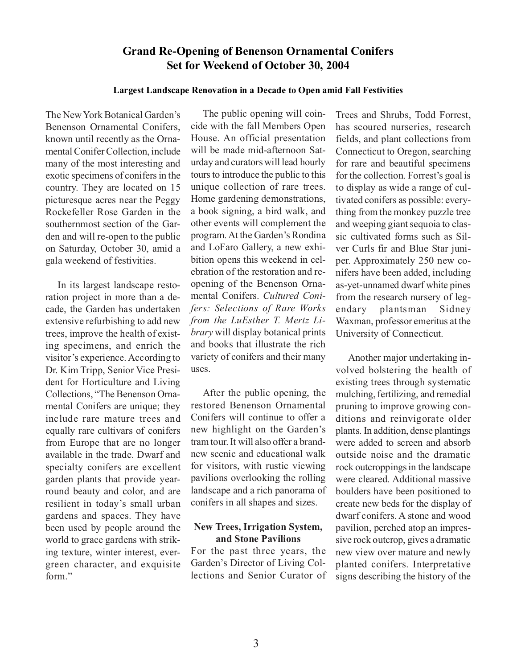### **Grand Re-Opening of Benenson Ornamental Conifers Set for Weekend of October 30, 2004**

#### **Largest Landscape Renovation in a Decade to Open amid Fall Festivities**

The New York Botanical Garden's Benenson Ornamental Conifers, known until recently as the Ornamental Conifer Collection, include many of the most interesting and exotic specimens of conifers in the country. They are located on 15 picturesque acres near the Peggy Rockefeller Rose Garden in the southernmost section of the Garden and will re-open to the public on Saturday, October 30, amid a gala weekend of festivities.

In its largest landscape restoration project in more than a decade, the Garden has undertaken extensive refurbishing to add new trees, improve the health of existing specimens, and enrich the visitor's experience. According to Dr. Kim Tripp, Senior Vice President for Horticulture and Living Collections, "The Benenson Ornamental Conifers are unique; they include rare mature trees and equally rare cultivars of conifers from Europe that are no longer available in the trade. Dwarf and specialty conifers are excellent garden plants that provide yearround beauty and color, and are resilient in today's small urban gardens and spaces. They have been used by people around the world to grace gardens with striking texture, winter interest, evergreen character, and exquisite form"

The public opening will coincide with the fall Members Open House. An official presentation will be made mid-afternoon Saturday and curators will lead hourly tours to introduce the public to this unique collection of rare trees. Home gardening demonstrations, a book signing, a bird walk, and other events will complement the program. At the Garden's Rondina and LoFaro Gallery, a new exhibition opens this weekend in celebration of the restoration and reopening of the Benenson Ornamental Conifers. *Cultured Conifers: Selections of Rare Works from the LuEsther T. Mertz Library* will display botanical prints and books that illustrate the rich variety of conifers and their many uses.

After the public opening, the restored Benenson Ornamental Conifers will continue to offer a new highlight on the Garden's tram tour. It will also offer a brandnew scenic and educational walk for visitors, with rustic viewing pavilions overlooking the rolling landscape and a rich panorama of conifers in all shapes and sizes.

#### **New Trees, Irrigation System, and Stone Pavilions**

For the past three years, the Garden's Director of Living Collections and Senior Curator of Trees and Shrubs, Todd Forrest, has scoured nurseries, research fields, and plant collections from Connecticut to Oregon, searching for rare and beautiful specimens for the collection. Forrest's goal is to display as wide a range of cultivated conifers as possible: everything from the monkey puzzle tree and weeping giant sequoia to classic cultivated forms such as Silver Curls fir and Blue Star juniper. Approximately 250 new conifers have been added, including as-yet-unnamed dwarf white pines from the research nursery of legendary plantsman Sidney Waxman, professor emeritus at the University of Connecticut.

Another major undertaking involved bolstering the health of existing trees through systematic mulching, fertilizing, and remedial pruning to improve growing conditions and reinvigorate older plants. In addition, dense plantings were added to screen and absorb outside noise and the dramatic rock outcroppings in the landscape were cleared. Additional massive boulders have been positioned to create new beds for the display of dwarf conifers. A stone and wood pavilion, perched atop an impressive rock outcrop, gives a dramatic new view over mature and newly planted conifers. Interpretative signs describing the history of the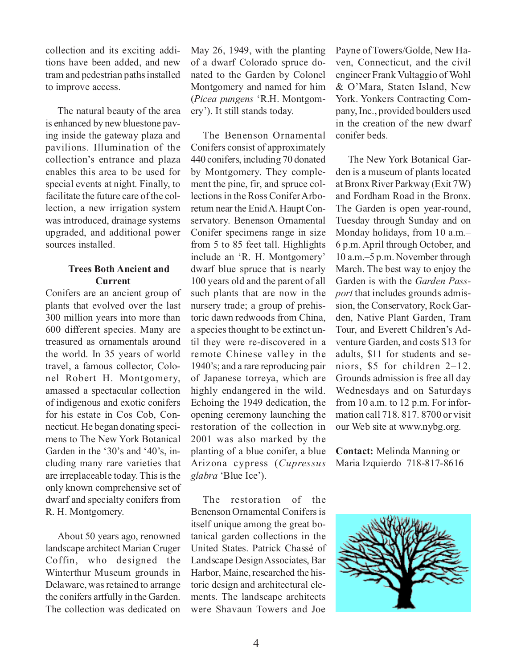collection and its exciting additions have been added, and new tram and pedestrian paths installed to improve access.

The natural beauty of the area is enhanced by new bluestone paving inside the gateway plaza and pavilions. Illumination of the collection's entrance and plaza enables this area to be used for special events at night. Finally, to facilitate the future care of the collection, a new irrigation system was introduced, drainage systems upgraded, and additional power sources installed.

#### **Trees Both Ancient and Current**

Conifers are an ancient group of plants that evolved over the last 300 million years into more than 600 different species. Many are treasured as ornamentals around the world. In 35 years of world travel, a famous collector, Colonel Robert H. Montgomery, amassed a spectacular collection of indigenous and exotic conifers for his estate in Cos Cob, Connecticut. He began donating specimens to The New York Botanical Garden in the '30's and '40's, including many rare varieties that are irreplaceable today. This is the only known comprehensive set of dwarf and specialty conifers from R. H. Montgomery.

About 50 years ago, renowned landscape architect Marian Cruger Coffin, who designed the Winterthur Museum grounds in Delaware, was retained to arrange the conifers artfully in the Garden. The collection was dedicated on

May 26, 1949, with the planting of a dwarf Colorado spruce donated to the Garden by Colonel Montgomery and named for him (*Picea pungens* 'R.H. Montgomery'). It still stands today.

The Benenson Ornamental Conifers consist of approximately 440 conifers, including 70 donated by Montgomery. They complement the pine, fir, and spruce collections in the Ross Conifer Arboretum near the Enid A. Haupt Conservatory. Benenson Ornamental Conifer specimens range in size from 5 to 85 feet tall. Highlights include an 'R. H. Montgomery' dwarf blue spruce that is nearly 100 years old and the parent of all such plants that are now in the nursery trade; a group of prehistoric dawn redwoods from China, a species thought to be extinct until they were re-discovered in a remote Chinese valley in the 1940's; and a rare reproducing pair of Japanese torreya, which are highly endangered in the wild. Echoing the 1949 dedication, the opening ceremony launching the restoration of the collection in 2001 was also marked by the planting of a blue conifer, a blue Arizona cypress (*Cupressus glabra* 'Blue Ice').

The restoration of the Benenson Ornamental Conifers is itself unique among the great botanical garden collections in the United States. Patrick Chassé of Landscape Design Associates, Bar Harbor, Maine, researched the historic design and architectural elements. The landscape architects were Shavaun Towers and Joe

Payne of Towers/Golde, New Haven, Connecticut, and the civil engineer Frank Vultaggio of Wohl & O'Mara, Staten Island, New York. Yonkers Contracting Company, Inc., provided boulders used in the creation of the new dwarf conifer beds.

The New York Botanical Garden is a museum of plants located at Bronx River Parkway (Exit 7W) and Fordham Road in the Bronx. The Garden is open year-round, Tuesday through Sunday and on Monday holidays, from 10 a.m.– 6 p.m. April through October, and 10 a.m.–5 p.m. November through March. The best way to enjoy the Garden is with the *Garden Passport* that includes grounds admission, the Conservatory, Rock Garden, Native Plant Garden, Tram Tour, and Everett Children's Adventure Garden, and costs \$13 for adults, \$11 for students and seniors, \$5 for children 2–12. Grounds admission is free all day Wednesdays and on Saturdays from 10 a.m. to 12 p.m. For information call 718. 817. 8700 or visit our Web site at www.nybg.org.

**Contact:** Melinda Manning or Maria Izquierdo 718-817-8616

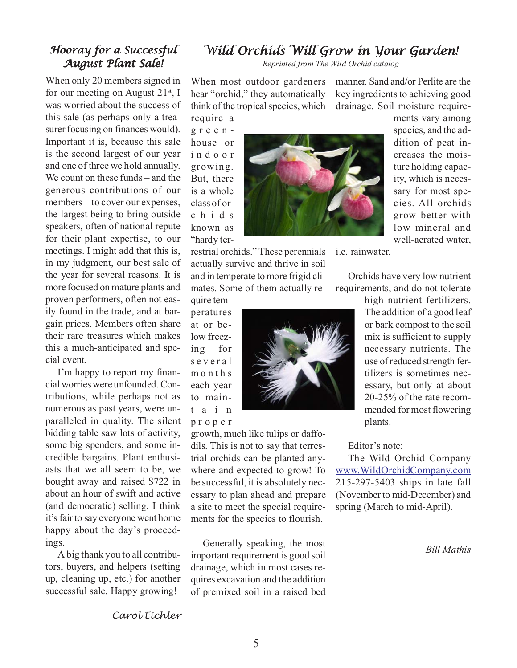# *Wild Orchids Will Grow in Your Garden! Wild Orchids Will Grow Your Garden!*

*Reprinted from The Wild Orchid catalog*

When most outdoor gardeners hear "orchid," they automatically think of the tropical species, which

manner. Sand and/or Perlite are the key ingredients to achieving good drainage. Soil moisture require-

require a greenhouse or indoor growing. But, there is a whole class of orchids known as "hardy ter-

restrial orchids." These perennials i.e. rainwater. actually survive and thrive in soil and in temperate to more frigid climates. Some of them actually re-

quire temperatures at or below freezing for several months each year to maintain proper

growth, much like tulips or daffodils. This is not to say that terrestrial orchids can be planted anywhere and expected to grow! To be successful, it is absolutely necessary to plan ahead and prepare a site to meet the special requirements for the species to flourish.

Generally speaking, the most important requirement is good soil drainage, which in most cases requires excavation and the addition of premixed soil in a raised bed

5

dition of peat increases the moisture holding capacity, which is necessary for most species. All orchids grow better with low mineral and well-aerated water,

ments vary among species, and the ad-

Orchids have very low nutrient requirements, and do not tolerate

> high nutrient fertilizers. The addition of a good leaf or bark compost to the soil mix is sufficient to supply necessary nutrients. The use of reduced strength fertilizers is sometimes necessary, but only at about 20-25% of the rate recommended for most flowering plants.

Editor's note:

The Wild Orchid Company <www.WildOrchidCompany.com> 215-297-5403 ships in late fall (November to mid-December) and spring (March to mid-April).

*Bill Mathis*

## *Hooray for a Successful Hooray for a Successful August Plant Sale! August Plant Sale!*

When only 20 members signed in for our meeting on August  $21^{st}$ , I was worried about the success of this sale (as perhaps only a treasurer focusing on finances would). Important it is, because this sale is the second largest of our year and one of three we hold annually. We count on these funds – and the generous contributions of our members – to cover our expenses, the largest being to bring outside speakers, often of national repute for their plant expertise, to our meetings. I might add that this is, in my judgment, our best sale of the year for several reasons. It is more focused on mature plants and proven performers, often not easily found in the trade, and at bargain prices. Members often share their rare treasures which makes this a much-anticipated and special event.

I'm happy to report my financial worries were unfounded. Contributions, while perhaps not as numerous as past years, were unparalleled in quality. The silent bidding table saw lots of activity, some big spenders, and some incredible bargains. Plant enthusiasts that we all seem to be, we bought away and raised \$722 in about an hour of swift and active (and democratic) selling. I think it's fair to say everyone went home happy about the day's proceedings.

A big thank you to all contributors, buyers, and helpers (setting up, cleaning up, etc.) for another successful sale. Happy growing!